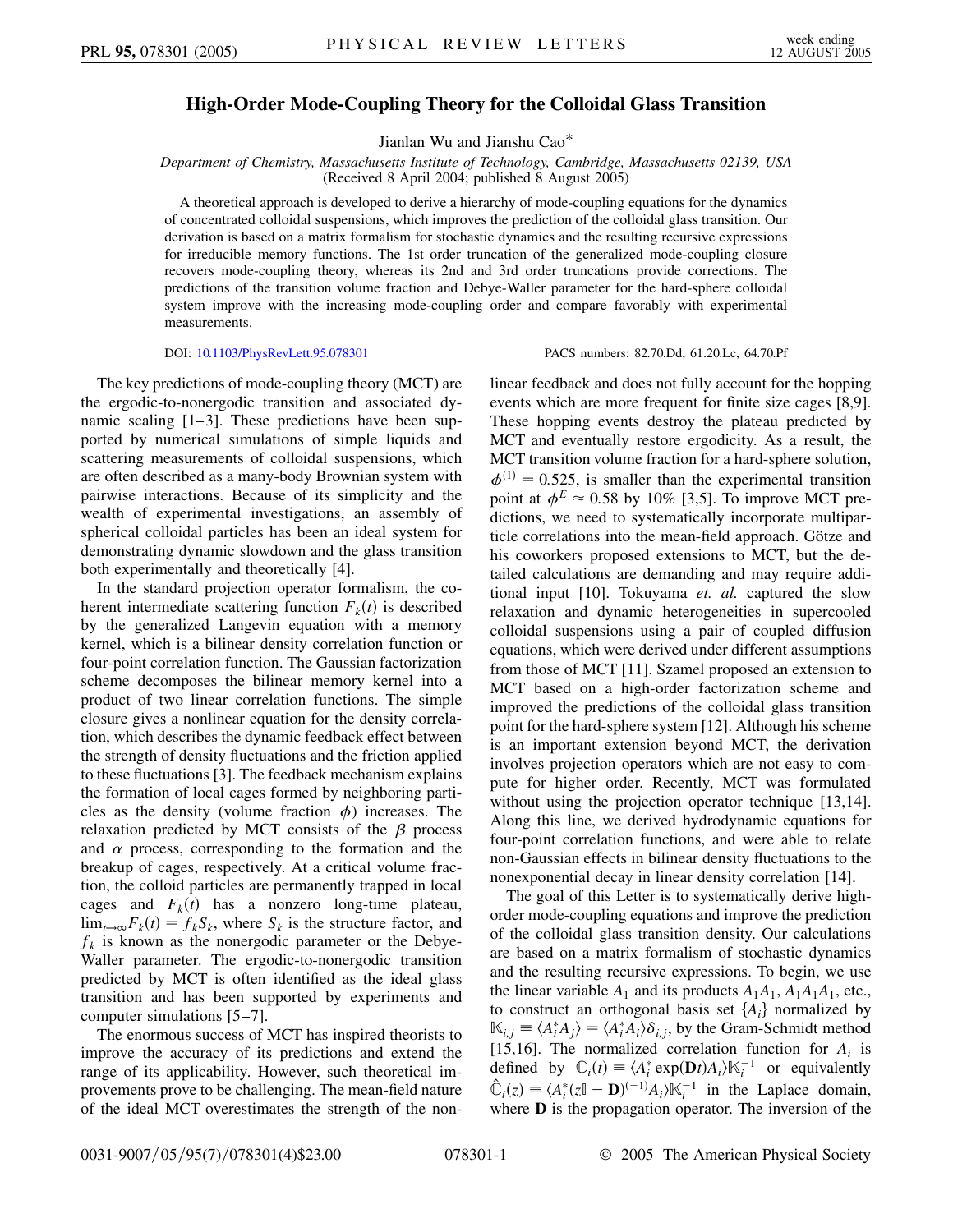## **High-Order Mode-Coupling Theory for the Colloidal Glass Transition**

Jianlan Wu and Jianshu Cao\*

*Department of Chemistry, Massachusetts Institute of Technology, Cambridge, Massachusetts 02139, USA* (Received 8 April 2004; published 8 August 2005)

A theoretical approach is developed to derive a hierarchy of mode-coupling equations for the dynamics of concentrated colloidal suspensions, which improves the prediction of the colloidal glass transition. Our derivation is based on a matrix formalism for stochastic dynamics and the resulting recursive expressions for irreducible memory functions. The 1st order truncation of the generalized mode-coupling closure recovers mode-coupling theory, whereas its 2nd and 3rd order truncations provide corrections. The predictions of the transition volume fraction and Debye-Waller parameter for the hard-sphere colloidal system improve with the increasing mode-coupling order and compare favorably with experimental measurements.

## DOI: [10.1103/PhysRevLett.95.078301](http://dx.doi.org/10.1103/PhysRevLett.95.078301) PACS numbers: 82.70.Dd, 61.20.Lc, 64.70.Pf

The key predictions of mode-coupling theory (MCT) are the ergodic-to-nonergodic transition and associated dynamic scaling  $[1-3]$ . These predictions have been supported by numerical simulations of simple liquids and scattering measurements of colloidal suspensions, which are often described as a many-body Brownian system with pairwise interactions. Because of its simplicity and the wealth of experimental investigations, an assembly of spherical colloidal particles has been an ideal system for demonstrating dynamic slowdown and the glass transition both experimentally and theoretically [4].

In the standard projection operator formalism, the coherent intermediate scattering function  $F_k(t)$  is described by the generalized Langevin equation with a memory kernel, which is a bilinear density correlation function or four-point correlation function. The Gaussian factorization scheme decomposes the bilinear memory kernel into a product of two linear correlation functions. The simple closure gives a nonlinear equation for the density correlation, which describes the dynamic feedback effect between the strength of density fluctuations and the friction applied to these fluctuations [3]. The feedback mechanism explains the formation of local cages formed by neighboring particles as the density (volume fraction  $\phi$ ) increases. The relaxation predicted by MCT consists of the  $\beta$  process and  $\alpha$  process, corresponding to the formation and the breakup of cages, respectively. At a critical volume fraction, the colloid particles are permanently trapped in local cages and  $F_k(t)$  has a nonzero long-time plateau,  $\lim_{t\to\infty} F_k(t) = f_k S_k$ , where  $S_k$  is the structure factor, and  $f_k$  is known as the nonergodic parameter or the Debye-Waller parameter. The ergodic-to-nonergodic transition predicted by MCT is often identified as the ideal glass transition and has been supported by experiments and computer simulations [5–7].

The enormous success of MCT has inspired theorists to improve the accuracy of its predictions and extend the range of its applicability. However, such theoretical improvements prove to be challenging. The mean-field nature of the ideal MCT overestimates the strength of the nonlinear feedback and does not fully account for the hopping events which are more frequent for finite size cages [8,9]. These hopping events destroy the plateau predicted by MCT and eventually restore ergodicity. As a result, the MCT transition volume fraction for a hard-sphere solution,  $\phi^{(1)} = 0.525$ , is smaller than the experimental transition point at  $\phi^E \approx 0.58$  by 10% [3,5]. To improve MCT predictions, we need to systematically incorporate multiparticle correlations into the mean-field approach. Götze and his coworkers proposed extensions to MCT, but the detailed calculations are demanding and may require additional input [10]. Tokuyama *et. al.* captured the slow relaxation and dynamic heterogeneities in supercooled colloidal suspensions using a pair of coupled diffusion equations, which were derived under different assumptions from those of MCT [11]. Szamel proposed an extension to MCT based on a high-order factorization scheme and improved the predictions of the colloidal glass transition point for the hard-sphere system [12]. Although his scheme is an important extension beyond MCT, the derivation involves projection operators which are not easy to compute for higher order. Recently, MCT was formulated without using the projection operator technique [13,14]. Along this line, we derived hydrodynamic equations for four-point correlation functions, and were able to relate non-Gaussian effects in bilinear density fluctuations to the nonexponential decay in linear density correlation [14].

The goal of this Letter is to systematically derive highorder mode-coupling equations and improve the prediction of the colloidal glass transition density. Our calculations are based on a matrix formalism of stochastic dynamics and the resulting recursive expressions. To begin, we use the linear variable  $A_1$  and its products  $A_1A_1$ ,  $A_1A_1A_1$ , etc., to construct an orthogonal basis set  $\{A_i\}$  normalized by  $\mathbb{K}_{i,j} \equiv \langle A_i^* A_j \rangle = \langle A_i^* A_i \rangle \delta_{i,j}$ , by the Gram-Schmidt method [15,16]. The normalized correlation function for  $A_i$  is defined by  $\mathbb{C}_i(t) \equiv \langle A_i^* \exp(\mathbf{D}t) A_i \rangle \mathbb{K}_i^{-1}$  or equivalently  $\hat{\mathbb{C}}_i(z) \equiv \langle A_i^*(z \mathbb{I} - \mathbf{D})^{(-1)} A_i \rangle \mathbb{K}_i^{-1}$  in the Laplace domain, where **D** is the propagation operator. The inversion of the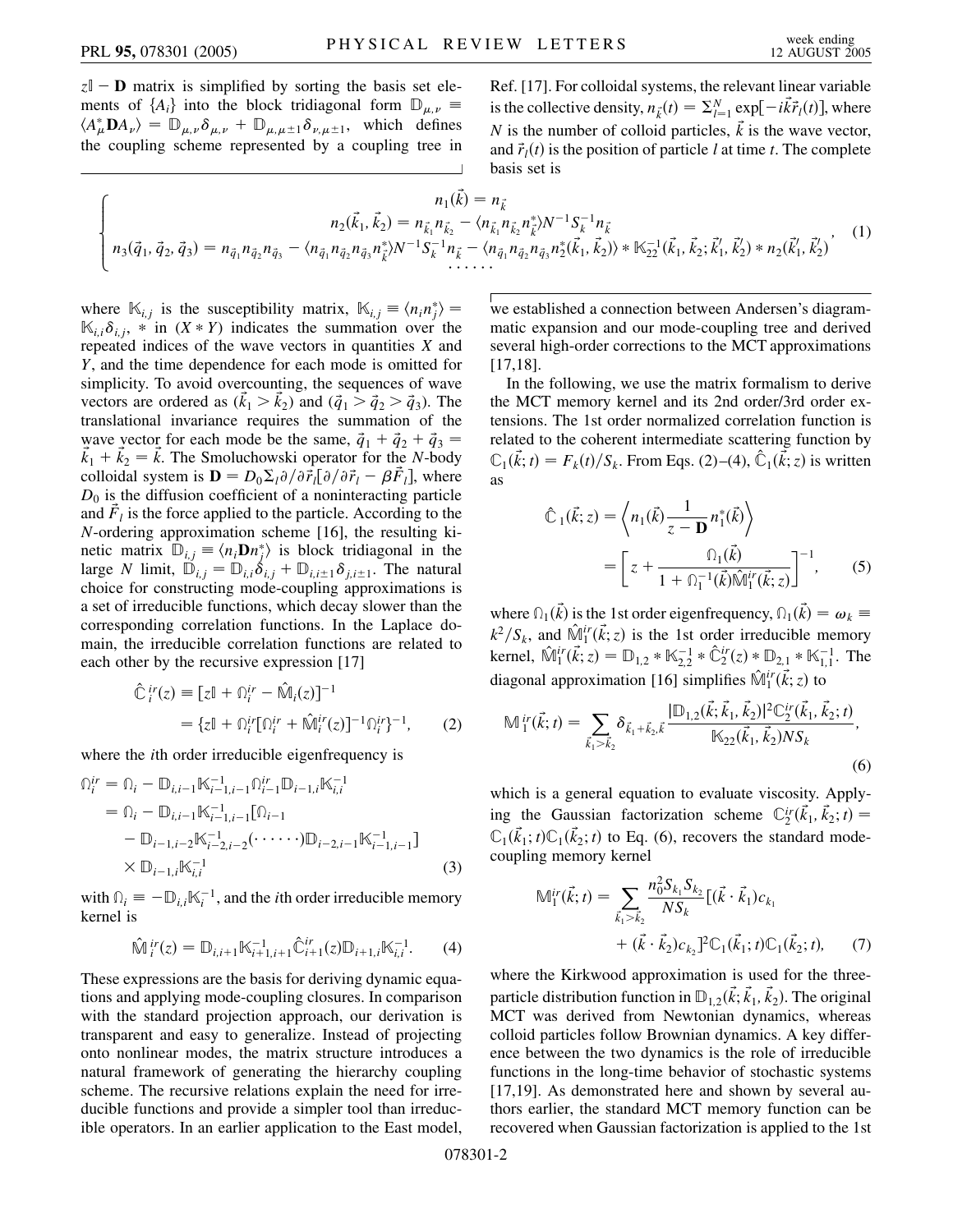$z\mathbb{I}$  – **D** matrix is simplified by sorting the basis set elements of  ${A_i}$  into the block tridiagonal form  $\mathbb{D}_{\mu,\nu}$  $\langle A^*_{\mu} \mathbf{D} A_{\nu} \rangle = \mathbb{D}_{\mu, \nu} \delta_{\mu, \nu} + \mathbb{D}_{\mu, \mu \pm 1} \delta_{\nu, \mu \pm 1}$ , which defines the coupling scheme represented by a coupling tree in Ref. [17]. For colloidal systems, the relevant linear variable is the collective density,  $n_{\vec{k}}(t) = \sum_{l=1}^{N} \exp[-i\vec{k}\vec{r}_l(t)]$ , where *N* is the number of colloid particles,  $\vec{k}$  is the wave vector, and  $\vec{r}_l(t)$  is the position of particle *l* at time *t*. The complete basis set is

$$
\begin{cases}\nn_1(\vec{k}) = n_{\vec{k}} \\
n_2(\vec{k}_1, \vec{k}_2) = n_{\vec{k}_1} n_{\vec{k}_2} - \langle n_{\vec{k}_1} n_{\vec{k}_2} n_{\vec{k}}^* \rangle N^{-1} S_k^{-1} n_{\vec{k}} \\
n_3(\vec{q}_1, \vec{q}_2, \vec{q}_3) = n_{\vec{q}_1} n_{\vec{q}_2} n_{\vec{q}_3} - \langle n_{\vec{q}_1} n_{\vec{q}_2} n_{\vec{q}_3} n_{\vec{k}}^* \rangle N^{-1} S_k^{-1} n_{\vec{k}} - \langle n_{\vec{q}_1} n_{\vec{q}_2} n_{\vec{q}_3} n_2^* (\vec{k}_1, \vec{k}_2) \rangle * \mathbb{K}_{22}^{-1}(\vec{k}_1, \vec{k}_2; \vec{k}'_1, \vec{k}'_2) * n_2(\vec{k}'_1, \vec{k}'_2)\n\end{cases}
$$
\n
$$
(1)
$$

where  $\mathbb{K}_{i,j}$  is the susceptibility matrix,  $\mathbb{K}_{i,j} \equiv \langle n_i n_j^* \rangle =$  $\mathbb{K}_{i,i}\delta_{i,j}$ , \* in  $(X * Y)$  indicates the summation over the repeated indices of the wave vectors in quantities *X* and *Y*, and the time dependence for each mode is omitted for simplicity. To avoid overcounting, the sequences of wave vectors are ordered as  $(\vec{k}_1 > \vec{k}_2)$  and  $(\vec{q}_1 > \vec{q}_2 > \vec{q}_3)$ . The translational invariance requires the summation of the wave vector for each mode be the same,  $\vec{q}_1 + \vec{q}_2 + \vec{q}_3 =$  $\vec{k}_1 + \vec{k}_2 = \vec{k}$ . The Smoluchowski operator for the *N*-body colloidal system is  $\mathbf{D} = D_0 \Sigma_l \partial / \partial \vec{r}_l [\partial / \partial \vec{r}_l - \beta \vec{F}_l]$ , where  $D_0$  is the diffusion coefficient of a noninteracting particle and  $\ddot{F}_l$  is the force applied to the particle. According to the *N*-ordering approximation scheme [16], the resulting kinetic matrix  $\mathbb{D}_{i,j} \equiv \langle n_i \mathbf{D} n_j^* \rangle$  is block tridiagonal in the large *N* limit,  $\mathbb{D}_{i,j} = \mathbb{D}_{i,i} \delta_{i,j} + \mathbb{D}_{i,i \pm 1} \delta_{j,i \pm 1}$ . The natural choice for constructing mode-coupling approximations is a set of irreducible functions, which decay slower than the corresponding correlation functions. In the Laplace domain, the irreducible correlation functions are related to each other by the recursive expression [17]

$$
\hat{\mathbb{C}}_i^{ir}(z) = [z\mathbb{I} + \Omega_i^{ir} - \hat{\mathbb{M}}_i(z)]^{-1}
$$
  
= {z\mathbb{I} + \Omega\_i^{ir}[\Omega\_i^{ir} + \hat{\mathbb{M}}\_i^{ir}(z)]^{-1}\Omega\_i^{ir}}^{-1}, (2)

where the *i*th order irreducible eigenfrequency is

$$
\begin{split} \n\Omega_i^{ir} &= \Omega_i - \mathbb{D}_{i,i-1} \mathbb{K}_{i-1,i-1}^{-1} \Omega_{i-1}^{ir} \mathbb{D}_{i-1,i} \mathbb{K}_{i,i}^{-1} \\ \n&= \Omega_i - \mathbb{D}_{i,i-1} \mathbb{K}_{i-1,i-1}^{-1} [\Omega_{i-1} \\ \n&\quad - \mathbb{D}_{i-1,i-2} \mathbb{K}_{i-2,i-2}^{-1} (\cdots \cdots) \mathbb{D}_{i-2,i-1} \mathbb{K}_{i-1,i-1}^{-1} ] \\ \n&\times \mathbb{D}_{i-1,i} \mathbb{K}_{i,i}^{-1} \n\end{split} \tag{3}
$$

with  $\hat{\mathbb{D}}_i = -\mathbb{D}_{i,i} \mathbb{K}_i^{-1}$ , and the *i*th order irreducible memory kernel is

$$
\hat{\mathbb{M}}_{i}^{ir}(z) = \mathbb{D}_{i,i+1} \mathbb{K}_{i+1,i+1}^{-1} \hat{\mathbb{C}}_{i+1}^{ir}(z) \mathbb{D}_{i+1,i} \mathbb{K}_{i,i}^{-1}.
$$
 (4)

These expressions are the basis for deriving dynamic equations and applying mode-coupling closures. In comparison with the standard projection approach, our derivation is transparent and easy to generalize. Instead of projecting onto nonlinear modes, the matrix structure introduces a natural framework of generating the hierarchy coupling scheme. The recursive relations explain the need for irreducible functions and provide a simpler tool than irreducible operators. In an earlier application to the East model, we established a connection between Andersen's diagrammatic expansion and our mode-coupling tree and derived several high-order corrections to the MCT approximations [17,18].

In the following, we use the matrix formalism to derive the MCT memory kernel and its 2nd order/3rd order extensions. The 1st order normalized correlation function is related to the coherent intermediate scattering function by  $\mathbb{C}_1(\vec{k}; t) = F_k(t)/S_k$ . From Eqs. (2)–(4),  $\hat{\mathbb{C}}_1(\vec{k}; z)$  is written as

$$
\hat{\mathbb{C}}_1(\vec{k}; z) = \left\langle n_1(\vec{k}) \frac{1}{z - \mathbf{D}} n_1^*(\vec{k}) \right\rangle
$$

$$
= \left[ z + \frac{\Omega_1(\vec{k})}{1 + \Omega_1^{-1}(\vec{k}) \hat{\mathbb{M}}_1^{ir}(\vec{k}; z)} \right]^{-1}, \qquad (5)
$$

where  $\Omega_1(\vec{k})$  is the 1st order eigenfrequency,  $\Omega_1(\vec{k}) = \omega_k$  $k^2/S_k$ , and  $\hat{\mathbb{M}}_1^{ir}(\vec{k}; z)$  is the 1st order irreducible memory kernel,  $\hat{\mathbb{M}}_1^{ir}(\vec{k}; z) = \mathbb{D}_{1,2} * \mathbb{K}_{2,2}^{-1} * \hat{\mathbb{C}}_2^{ir}(z) * \mathbb{D}_{2,1} * \mathbb{K}_{1,1}^{-1}$ . The diagonal approximation [16] simplifies  $\hat{\mathbb{M}}_1^{ir}(\vec{k}; z)$  to

$$
\mathbb{M}_{1}^{ir}(\vec{k};t) = \sum_{\vec{k}_{1} > \vec{k}_{2}} \delta_{\vec{k}_{1} + \vec{k}_{2},\vec{k}} \frac{[\mathbb{D}_{1,2}(\vec{k};\vec{k}_{1},\vec{k}_{2})]^{2} \mathbb{C}_{2}^{ir}(\vec{k}_{1},\vec{k}_{2};t)}{\mathbb{K}_{22}(\vec{k}_{1},\vec{k}_{2}) N S_{k}},
$$
\n(6)

which is a general equation to evaluate viscosity. Applying the Gaussian factorization scheme  $\mathbb{C}_2^{ir}(\vec{k}_1, \vec{k}_2; t)$  =  $\mathbb{C}_1(\vec{k}_1; t)\mathbb{C}_1(\vec{k}_2; t)$  to Eq. (6), recovers the standard modecoupling memory kernel

$$
\mathbb{M}_1^{ir}(\vec{k}; t) = \sum_{\vec{k}_1 > \vec{k}_2} \frac{n_0^2 S_{k_1} S_{k_2}}{NS_k} [(\vec{k} \cdot \vec{k}_1) c_{k_1} + (\vec{k} \cdot \vec{k}_2) c_{k_2}]^2 \mathbb{C}_1(\vec{k}_1; t) \mathbb{C}_1(\vec{k}_2; t), \tag{7}
$$

where the Kirkwood approximation is used for the threeparticle distribution function in  $\mathbb{D}_{1,2}(\vec{k}; \vec{k}_1, \vec{k}_2)$ . The original MCT was derived from Newtonian dynamics, whereas colloid particles follow Brownian dynamics. A key difference between the two dynamics is the role of irreducible functions in the long-time behavior of stochastic systems [17,19]. As demonstrated here and shown by several authors earlier, the standard MCT memory function can be recovered when Gaussian factorization is applied to the 1st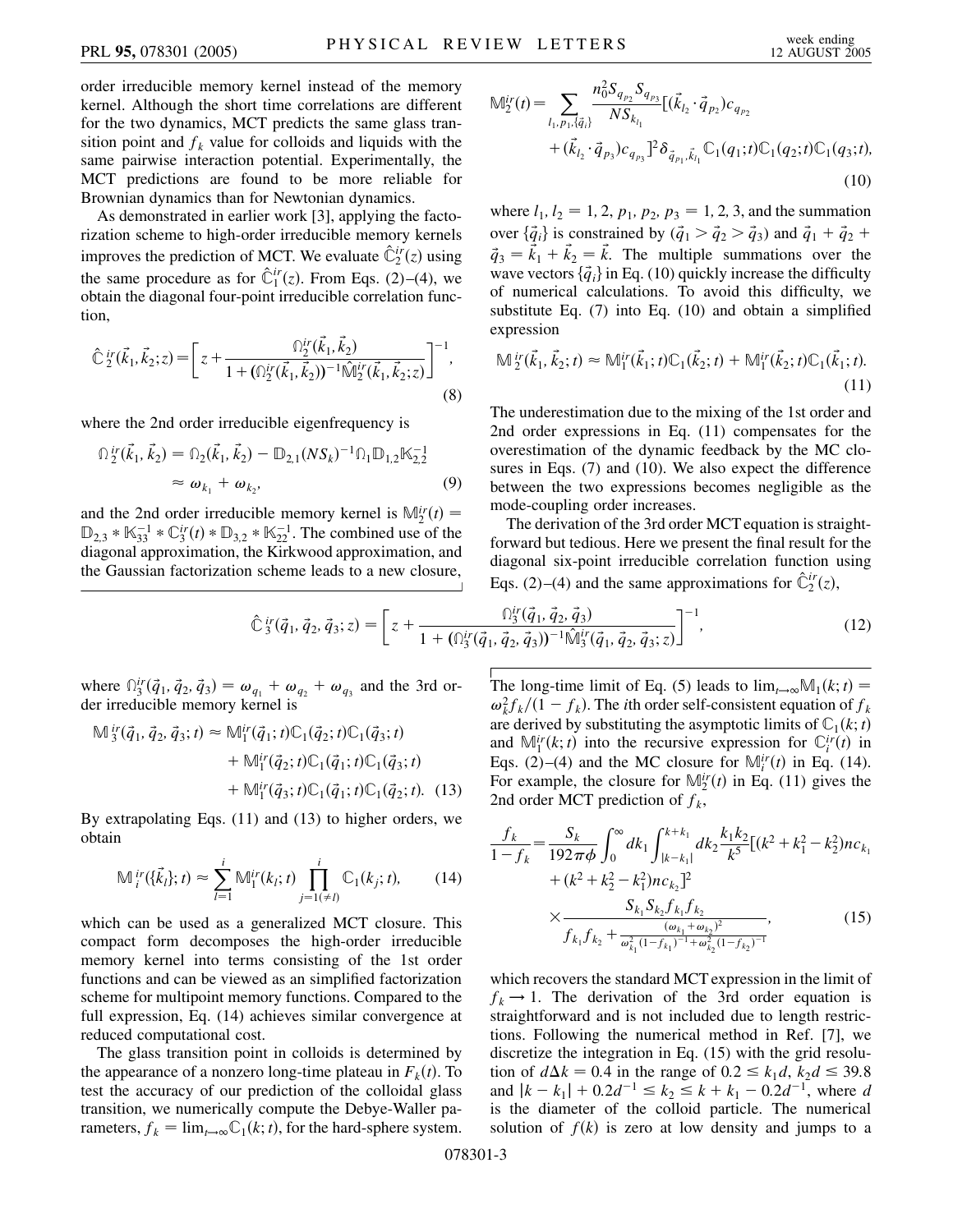order irreducible memory kernel instead of the memory kernel. Although the short time correlations are different for the two dynamics, MCT predicts the same glass transition point and  $f_k$  value for colloids and liquids with the same pairwise interaction potential. Experimentally, the MCT predictions are found to be more reliable for Brownian dynamics than for Newtonian dynamics.

As demonstrated in earlier work [3], applying the factorization scheme to high-order irreducible memory kernels improves the prediction of MCT. We evaluate  $\hat{\mathbb{C}}_2^{ir}(z)$  using the same procedure as for  $\hat{\mathbb{C}}_1^{ir}(z)$ . From Eqs. (2)–(4), we obtain the diagonal four-point irreducible correlation function,

$$
\hat{\mathbb{C}}_{2}^{ir}(\vec{k}_{1}, \vec{k}_{2}; z) = \left[z + \frac{\Omega_{2}^{ir}(\vec{k}_{1}, \vec{k}_{2})}{1 + (\Omega_{2}^{ir}(\vec{k}_{1}, \vec{k}_{2}))^{-1} \hat{\mathbb{M}}_{2}^{ir}(\vec{k}_{1}, \vec{k}_{2}; z)}\right]^{-1},
$$
\n(8)

where the 2nd order irreducible eigenfrequency is

$$
\begin{split} \n\Omega^{\,ir}_{2}(\vec{k}_{1}, \vec{k}_{2}) &= \n\Omega_{2}(\vec{k}_{1}, \vec{k}_{2}) - \mathbb{D}_{2,1}(NS_{k})^{-1} \Omega_{1} \mathbb{D}_{1,2} \mathbb{K}_{2,2}^{-1} \\ \n&\approx \omega_{k_{1}} + \omega_{k_{2}}, \n\end{split} \tag{9}
$$

and the 2nd order irreducible memory kernel is  $M_2^{ir}(t)$  =  $\mathbb{D}_{2,3} * \mathbb{K}_{33}^{-1} * \mathbb{C}_{3}^{ir}(t) * \mathbb{D}_{3,2} * \mathbb{K}_{22}^{-1}$ . The combined use of the diagonal approximation, the Kirkwood approximation, and the Gaussian factorization scheme leads to a new closure,

$$
\mathbb{M}_{2}^{ir}(t) = \sum_{l_{1}, p_{1}, \{\vec{q}_{i}\}} \frac{n_{0}^{2} S_{q_{p_{2}}} S_{q_{p_{3}}}}{NS_{k_{l_{1}}}} [(\vec{k}_{l_{2}} \cdot \vec{q}_{p_{2}}) c_{q_{p_{2}}} + (\vec{k}_{l_{2}} \cdot \vec{q}_{p_{3}}) c_{q_{p_{3}}} ]^{2} \delta_{\vec{q}_{p_{1}}, \vec{k}_{l_{1}}} \mathbb{C}_{1}(q_{1}; t) \mathbb{C}_{1}(q_{2}; t) \mathbb{C}_{1}(q_{3}; t),
$$
\n(10)

where  $l_1$ ,  $l_2 = 1, 2, p_1, p_2, p_3 = 1, 2, 3$ , and the summation over  $\{\vec{q}_i\}$  is constrained by  $(\vec{q}_1 > \vec{q}_2 > \vec{q}_3)$  and  $\vec{q}_1 + \vec{q}_2 + \vec{q}_3$  $\vec{q}_3 = \vec{k}_1 + \vec{k}_2 = \vec{k}$ . The multiple summations over the wave vectors  $\{\vec{q}_i\}$  in Eq. (10) quickly increase the difficulty of numerical calculations. To avoid this difficulty, we substitute Eq. (7) into Eq. (10) and obtain a simplified expression

$$
\mathbb{M}_{2}^{ir}(\vec{k}_{1}, \vec{k}_{2}; t) \approx \mathbb{M}_{1}^{ir}(\vec{k}_{1}; t) \mathbb{C}_{1}(\vec{k}_{2}; t) + \mathbb{M}_{1}^{ir}(\vec{k}_{2}; t) \mathbb{C}_{1}(\vec{k}_{1}; t).
$$
\n(11)

The underestimation due to the mixing of the 1st order and 2nd order expressions in Eq. (11) compensates for the overestimation of the dynamic feedback by the MC closures in Eqs. (7) and (10). We also expect the difference between the two expressions becomes negligible as the mode-coupling order increases.

The derivation of the 3rd order MCT equation is straightforward but tedious. Here we present the final result for the diagonal six-point irreducible correlation function using Eqs. (2)–(4) and the same approximations for  $\hat{\mathbb{C}}_2^{ir}(z)$ ,

$$
\hat{\mathbb{C}}_3^{ir}(\vec{q}_1, \vec{q}_2, \vec{q}_3; z) = \left[ z + \frac{\Omega_3^{ir}(\vec{q}_1, \vec{q}_2, \vec{q}_3)}{1 + (\Omega_3^{ir}(\vec{q}_1, \vec{q}_2, \vec{q}_3))^{-1} \hat{\mathbb{M}}_3^{ir}(\vec{q}_1, \vec{q}_2, \vec{q}_3; z)} \right]^{-1},\tag{12}
$$

where  $\int_{3}^{i}(\vec{q}_1, \vec{q}_2, \vec{q}_3) = \omega_{q_1} + \omega_{q_2} + \omega_{q_3}$  and the 3rd order irreducible memory kernel is

$$
\mathbb{M}_{3}^{ir}(\vec{q}_{1}, \vec{q}_{2}, \vec{q}_{3}; t) \approx \mathbb{M}_{1}^{ir}(\vec{q}_{1}; t) \mathbb{C}_{1}(\vec{q}_{2}; t) \mathbb{C}_{1}(\vec{q}_{3}; t) \n+ \mathbb{M}_{1}^{ir}(\vec{q}_{2}; t) \mathbb{C}_{1}(\vec{q}_{1}; t) \mathbb{C}_{1}(\vec{q}_{3}; t) \n+ \mathbb{M}_{1}^{ir}(\vec{q}_{3}; t) \mathbb{C}_{1}(\vec{q}_{1}; t) \mathbb{C}_{1}(\vec{q}_{2}; t). (13)
$$

By extrapolating Eqs. (11) and (13) to higher orders, we obtain

$$
\mathbb{M}_{i}^{ir}(\{\vec{k}_{l}\};t) \approx \sum_{l=1}^{i} \mathbb{M}_{1}^{ir}(k_{l};t) \prod_{j=1(\neq l)}^{i} \mathbb{C}_{1}(k_{j};t), \qquad (14)
$$

which can be used as a generalized MCT closure. This compact form decomposes the high-order irreducible memory kernel into terms consisting of the 1st order functions and can be viewed as an simplified factorization scheme for multipoint memory functions. Compared to the full expression, Eq. (14) achieves similar convergence at reduced computational cost.

The glass transition point in colloids is determined by the appearance of a nonzero long-time plateau in  $F_k(t)$ . To test the accuracy of our prediction of the colloidal glass transition, we numerically compute the Debye-Waller parameters,  $f_k = \lim_{t \to \infty} C_1(k; t)$ , for the hard-sphere system.

The long-time limit of Eq. (5) leads to  $\lim_{t\to\infty}M_1(k; t)$  =  $\omega_k^2 f_k/(1 - f_k)$ . The *i*th order self-consistent equation of  $f_k$ are derived by substituting the asymptotic limits of  $\mathbb{C}_1(k; t)$ and  $\mathbb{M}_1^{ir}(k; t)$  into the recursive expression for  $\mathbb{C}_i^{ir}(t)$  in Eqs. (2)–(4) and the MC closure for  $\mathbb{M}_i^{ir}(t)$  in Eq. (14). For example, the closure for  $\mathbb{M}_2^{ir}(t)$  in Eq. (11) gives the 2nd order MCT prediction of  $f_k$ ,

$$
\frac{f_k}{1 - f_k} = \frac{S_k}{192\pi\phi} \int_0^\infty dk_1 \int_{|k - k_1|}^{k + k_1} dk_2 \frac{k_1 k_2}{k^5} [(k^2 + k_1^2 - k_2^2) n c_{k_1} + (k^2 + k_2^2 - k_1^2) n c_{k_2}]^2
$$

$$
\times \frac{S_{k_1} S_{k_2} f_{k_1} f_{k_2}}{f_{k_1} f_{k_2} + \frac{(\omega_{k_1} + \omega_{k_2})^2}{\omega_{k_1}^2 (1 - f_{k_1})^{-1} + \omega_{k_2}^2 (1 - f_{k_2})^{-1}} ,
$$
(15)

which recovers the standard MCT expression in the limit of  $f_k \rightarrow 1$ . The derivation of the 3rd order equation is straightforward and is not included due to length restrictions. Following the numerical method in Ref. [7], we discretize the integration in Eq. (15) with the grid resolution of  $d\Delta k = 0.4$  in the range of  $0.2 \le k_1 d$ ,  $k_2 d \le 39.8$ and  $|k - k_1| + 0.2d^{-1} \le k_2 \le k + k_1 - 0.2d^{-1}$ , where *d* is the diameter of the colloid particle. The numerical solution of  $f(k)$  is zero at low density and jumps to a